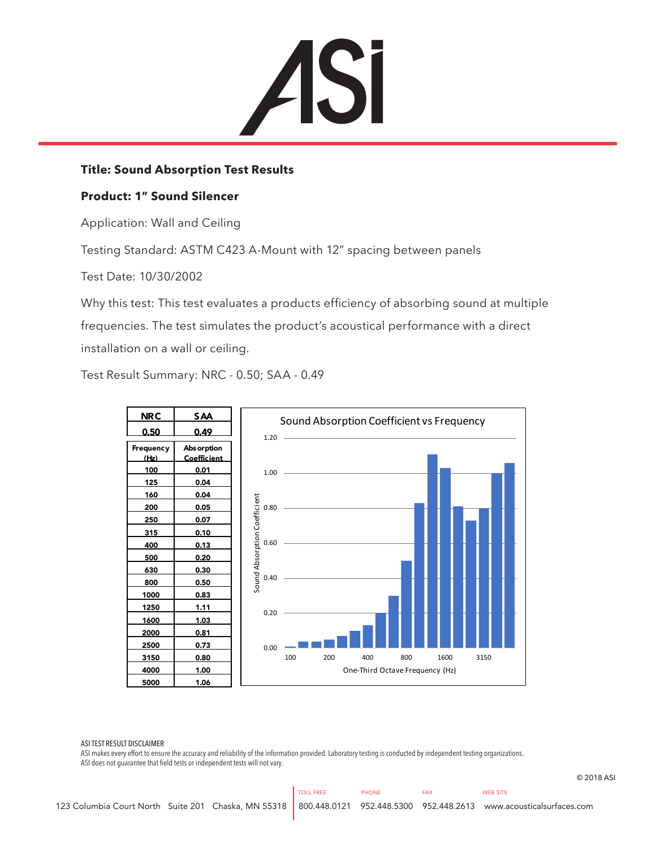

## **Title: Sound Absorption Test Results**

## **Product: 1" Sound Silencer**

Application: Wall and Ceiling

Testing Standard: ASTM C423 A-Mount with 12" spacing between panels

Test Date: 10/30/2002

Why this test: This test evaluates a products efficiency of absorbing sound at multiple frequencies. The test simulates the product's acoustical performance with a direct installation on a wall or ceiling.

Test Result Summary: NRC - 0.50; SAA - 0.49



ASI TEST RESULT DISCLAIMER

ASI makes every effort to ensure the accuracy and reliability of the information provided. Laboratory testing is conducted by independent testing organizations. ASI does not guarantee that field tests or independent tests will not vary.

© 2018 ASI